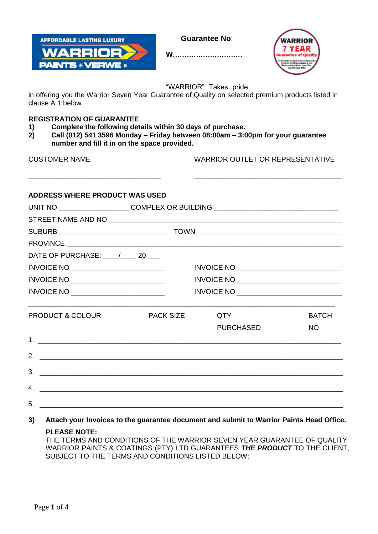

**Guarantee No**:





"WARRIOR" Takes pride

in offering you the Warrior Seven Year Guarantee of Quality on selected premium products listed in clause A.1 below

# **REGISTRATION OF GUARANTEE**

- **1) Complete the following details within 30 days of purchase.**
- **2) Call (012) 541 3596 Monday – Friday between 08:00am – 3:00pm for your guarantee number and fill it in on the space provided.**

\_\_\_\_\_\_\_\_\_\_\_\_\_\_\_\_\_\_\_\_\_\_\_\_\_\_\_\_\_\_\_\_\_\_ \_\_\_\_\_\_\_\_\_\_\_\_\_\_\_\_\_\_\_\_\_\_\_\_\_\_\_\_\_\_\_\_\_\_\_\_\_\_

CUSTOMER NAME WARRIOR OUTLET OR REPRESENTATIVE

# **ADDRESS WHERE PRODUCT WAS USED**

|                                        | UNIT NO ________________________COMPLEX OR BUILDING ____________________________ |                                                                                                                        |              |
|----------------------------------------|----------------------------------------------------------------------------------|------------------------------------------------------------------------------------------------------------------------|--------------|
|                                        |                                                                                  |                                                                                                                        |              |
|                                        |                                                                                  |                                                                                                                        |              |
|                                        |                                                                                  |                                                                                                                        |              |
| DATE OF PURCHASE: _____/______ 20 ____ |                                                                                  |                                                                                                                        |              |
| $INVOICE NO \_\_$                      |                                                                                  |                                                                                                                        |              |
| $INVOICE NO \_\_$                      |                                                                                  |                                                                                                                        |              |
|                                        |                                                                                  | INVOICE NO _________________________________                                                                           |              |
| <b>PRODUCT &amp; COLOUR</b>            | <b>PACK SIZE</b>                                                                 | QTY                                                                                                                    | <b>BATCH</b> |
|                                        |                                                                                  | <b>PURCHASED</b>                                                                                                       | NO           |
|                                        |                                                                                  |                                                                                                                        |              |
| 2. $\qquad \qquad$                     |                                                                                  |                                                                                                                        |              |
| 3.                                     |                                                                                  | <u> 1989 - Jan Barnett, fransk politiker (d. 1989)</u>                                                                 |              |
| $\mathbf{A}$                           |                                                                                  | <u> 1989 - Andrea Barbara, amerikana amerikana amerikana amerikana amerikana amerikana amerikana amerikana amerika</u> |              |
| 5.                                     |                                                                                  |                                                                                                                        |              |

**3) Attach your Invoices to the guarantee document and submit to Warrior Paints Head Office.**

## **PLEASE NOTE:**

THE TERMS AND CONDITIONS OF THE WARRIOR SEVEN YEAR GUARANTEE OF QUALITY: WARRIOR PAINTS & COATINGS (PTY) LTD GUARANTEES *THE PRODUCT* TO THE CLIENT, SUBJECT TO THE TERMS AND CONDITIONS LISTED BELOW: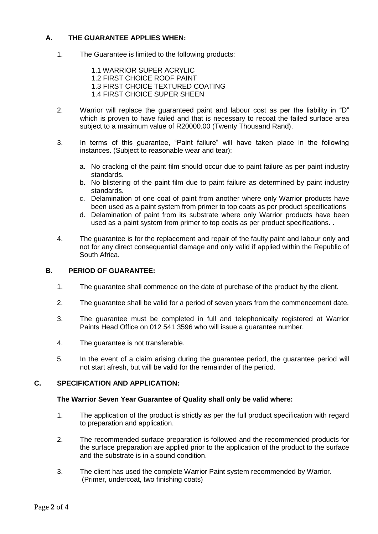## **A. THE GUARANTEE APPLIES WHEN:**

1. The Guarantee is limited to the following products:

1.1 WARRIOR SUPER ACRYLIC 1.2 FIRST CHOICE ROOF PAINT 1.3 FIRST CHOICE TEXTURED COATING 1.4 FIRST CHOICE SUPER SHEEN

- 2. Warrior will replace the guaranteed paint and labour cost as per the liability in "D" which is proven to have failed and that is necessary to recoat the failed surface area subject to a maximum value of R20000.00 (Twenty Thousand Rand).
- 3. In terms of this guarantee, "Paint failure" will have taken place in the following instances. (Subject to reasonable wear and tear):
	- a. No cracking of the paint film should occur due to paint failure as per paint industry standards.
	- b. No blistering of the paint film due to paint failure as determined by paint industry standards.
	- c. Delamination of one coat of paint from another where only Warrior products have been used as a paint system from primer to top coats as per product specifications
	- d. Delamination of paint from its substrate where only Warrior products have been used as a paint system from primer to top coats as per product specifications. .
- 4. The guarantee is for the replacement and repair of the faulty paint and labour only and not for any direct consequential damage and only valid if applied within the Republic of South Africa.

## **B. PERIOD OF GUARANTEE:**

- 1. The guarantee shall commence on the date of purchase of the product by the client.
- 2. The guarantee shall be valid for a period of seven years from the commencement date.
- 3. The guarantee must be completed in full and telephonically registered at Warrior Paints Head Office on 012 541 3596 who will issue a guarantee number.
- 4. The guarantee is not transferable.
- 5. In the event of a claim arising during the guarantee period, the guarantee period will not start afresh, but will be valid for the remainder of the period.

## **C. SPECIFICATION AND APPLICATION:**

#### **The Warrior Seven Year Guarantee of Quality shall only be valid where:**

- 1. The application of the product is strictly as per the full product specification with regard to preparation and application.
- 2. The recommended surface preparation is followed and the recommended products for the surface preparation are applied prior to the application of the product to the surface and the substrate is in a sound condition.
- 3. The client has used the complete Warrior Paint system recommended by Warrior. (Primer, undercoat, two finishing coats)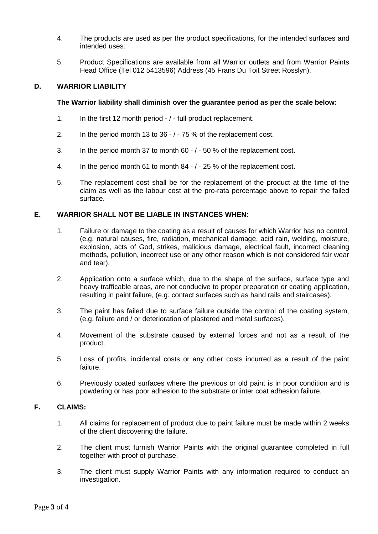- 4. The products are used as per the product specifications, for the intended surfaces and intended uses.
- 5. Product Specifications are available from all Warrior outlets and from Warrior Paints Head Office (Tel 012 5413596) Address (45 Frans Du Toit Street Rosslyn).

## **D. WARRIOR LIABILITY**

## **The Warrior liability shall diminish over the guarantee period as per the scale below:**

- 1. In the first 12 month period / full product replacement.
- 2. In the period month 13 to 36 / 75 % of the replacement cost.
- 3. In the period month 37 to month 60 / 50 % of the replacement cost.
- 4. In the period month 61 to month 84 / 25 % of the replacement cost.
- 5. The replacement cost shall be for the replacement of the product at the time of the claim as well as the labour cost at the pro-rata percentage above to repair the failed surface.

## **E. WARRIOR SHALL NOT BE LIABLE IN INSTANCES WHEN:**

- 1. Failure or damage to the coating as a result of causes for which Warrior has no control, (e.g. natural causes, fire, radiation, mechanical damage, acid rain, welding, moisture, explosion, acts of God, strikes, malicious damage, electrical fault, incorrect cleaning methods, pollution, incorrect use or any other reason which is not considered fair wear and tear).
- 2. Application onto a surface which, due to the shape of the surface, surface type and heavy trafficable areas, are not conducive to proper preparation or coating application, resulting in paint failure, (e.g. contact surfaces such as hand rails and staircases).
- 3. The paint has failed due to surface failure outside the control of the coating system, (e.g. failure and / or deterioration of plastered and metal surfaces).
- 4. Movement of the substrate caused by external forces and not as a result of the product.
- 5. Loss of profits, incidental costs or any other costs incurred as a result of the paint failure.
- 6. Previously coated surfaces where the previous or old paint is in poor condition and is powdering or has poor adhesion to the substrate or inter coat adhesion failure.

# **F. CLAIMS:**

- 1. All claims for replacement of product due to paint failure must be made within 2 weeks of the client discovering the failure.
- 2. The client must furnish Warrior Paints with the original guarantee completed in full together with proof of purchase.
- 3. The client must supply Warrior Paints with any information required to conduct an investigation.